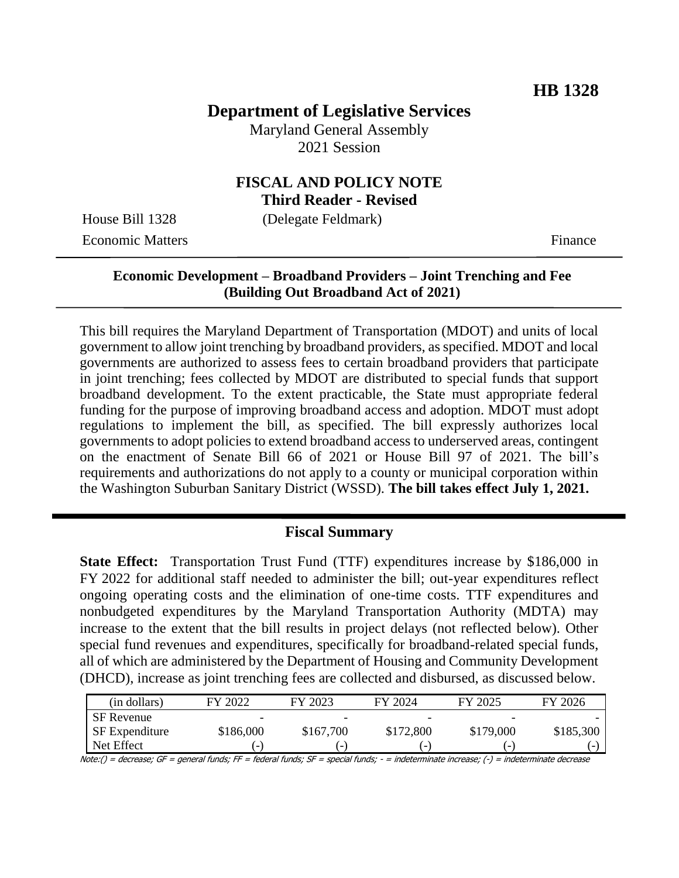# **Department of Legislative Services**

Maryland General Assembly 2021 Session

# **FISCAL AND POLICY NOTE**

**Third Reader - Revised**

House Bill 1328 (Delegate Feldmark) Economic Matters **Finance** 

# **Economic Development – Broadband Providers – Joint Trenching and Fee (Building Out Broadband Act of 2021)**

This bill requires the Maryland Department of Transportation (MDOT) and units of local government to allow joint trenching by broadband providers, as specified. MDOT and local governments are authorized to assess fees to certain broadband providers that participate in joint trenching; fees collected by MDOT are distributed to special funds that support broadband development. To the extent practicable, the State must appropriate federal funding for the purpose of improving broadband access and adoption. MDOT must adopt regulations to implement the bill, as specified. The bill expressly authorizes local governments to adopt policies to extend broadband access to underserved areas, contingent on the enactment of Senate Bill 66 of 2021 or House Bill 97 of 2021. The bill's requirements and authorizations do not apply to a county or municipal corporation within the Washington Suburban Sanitary District (WSSD). **The bill takes effect July 1, 2021.** 

# **Fiscal Summary**

**State Effect:** Transportation Trust Fund (TTF) expenditures increase by \$186,000 in FY 2022 for additional staff needed to administer the bill; out-year expenditures reflect ongoing operating costs and the elimination of one-time costs. TTF expenditures and nonbudgeted expenditures by the Maryland Transportation Authority (MDTA) may increase to the extent that the bill results in project delays (not reflected below). Other special fund revenues and expenditures, specifically for broadband-related special funds, all of which are administered by the Department of Housing and Community Development (DHCD), increase as joint trenching fees are collected and disbursed, as discussed below.

| (in dollars)          | FY 2022   | FY 2023   | FY 2024   | FY 2025   | FY 2026   |
|-----------------------|-----------|-----------|-----------|-----------|-----------|
| <b>SF</b> Revenue     | -         | -         | -         | -         |           |
| <b>SF</b> Expenditure | \$186,000 | \$167,700 | \$172,800 | \$179,000 | \$185,300 |
| Net Effect            |           |           |           |           |           |

Note:() = decrease; GF = general funds; FF = federal funds; SF = special funds; - = indeterminate increase; (-) = indeterminate decrease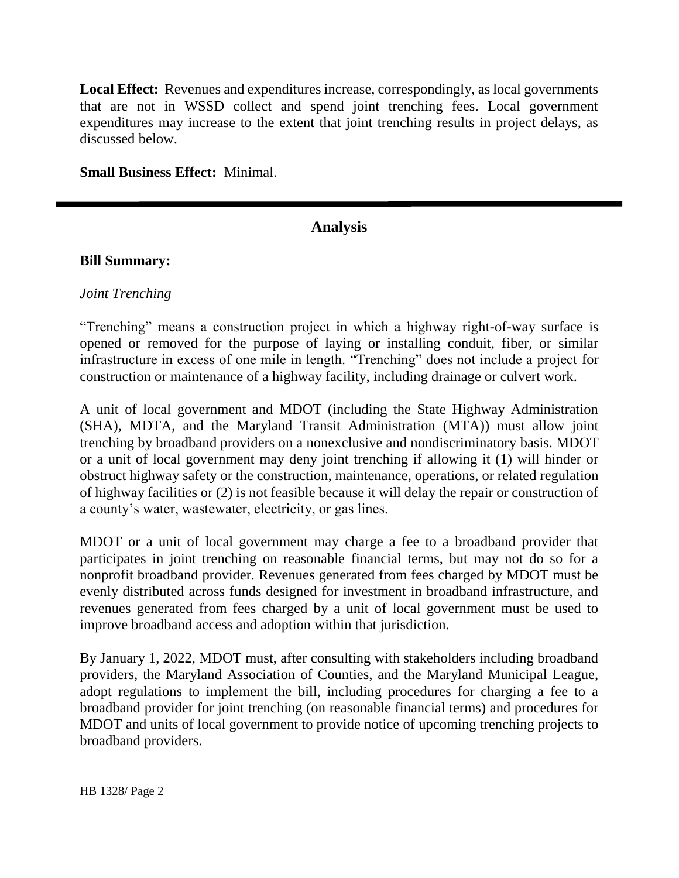**Local Effect:** Revenues and expenditures increase, correspondingly, as local governments that are not in WSSD collect and spend joint trenching fees. Local government expenditures may increase to the extent that joint trenching results in project delays, as discussed below.

#### **Small Business Effect:** Minimal.

# **Analysis**

#### **Bill Summary:**

## *Joint Trenching*

"Trenching" means a construction project in which a highway right-of-way surface is opened or removed for the purpose of laying or installing conduit, fiber, or similar infrastructure in excess of one mile in length. "Trenching" does not include a project for construction or maintenance of a highway facility, including drainage or culvert work.

A unit of local government and MDOT (including the State Highway Administration (SHA), MDTA, and the Maryland Transit Administration (MTA)) must allow joint trenching by broadband providers on a nonexclusive and nondiscriminatory basis. MDOT or a unit of local government may deny joint trenching if allowing it (1) will hinder or obstruct highway safety or the construction, maintenance, operations, or related regulation of highway facilities or (2) is not feasible because it will delay the repair or construction of a county's water, wastewater, electricity, or gas lines.

MDOT or a unit of local government may charge a fee to a broadband provider that participates in joint trenching on reasonable financial terms, but may not do so for a nonprofit broadband provider. Revenues generated from fees charged by MDOT must be evenly distributed across funds designed for investment in broadband infrastructure, and revenues generated from fees charged by a unit of local government must be used to improve broadband access and adoption within that jurisdiction.

By January 1, 2022, MDOT must, after consulting with stakeholders including broadband providers, the Maryland Association of Counties, and the Maryland Municipal League, adopt regulations to implement the bill, including procedures for charging a fee to a broadband provider for joint trenching (on reasonable financial terms) and procedures for MDOT and units of local government to provide notice of upcoming trenching projects to broadband providers.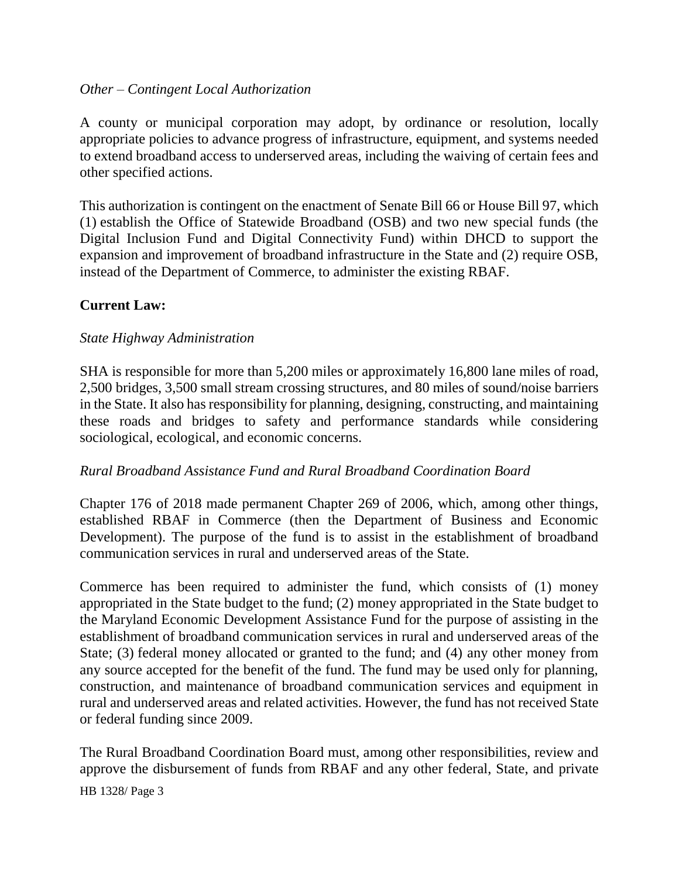## *Other – Contingent Local Authorization*

A county or municipal corporation may adopt, by ordinance or resolution, locally appropriate policies to advance progress of infrastructure, equipment, and systems needed to extend broadband access to underserved areas, including the waiving of certain fees and other specified actions.

This authorization is contingent on the enactment of Senate Bill 66 or House Bill 97, which (1) establish the Office of Statewide Broadband (OSB) and two new special funds (the Digital Inclusion Fund and Digital Connectivity Fund) within DHCD to support the expansion and improvement of broadband infrastructure in the State and (2) require OSB, instead of the Department of Commerce, to administer the existing RBAF.

# **Current Law:**

## *State Highway Administration*

SHA is responsible for more than 5,200 miles or approximately 16,800 lane miles of road, 2,500 bridges, 3,500 small stream crossing structures, and 80 miles of sound/noise barriers in the State. It also has responsibility for planning, designing, constructing, and maintaining these roads and bridges to safety and performance standards while considering sociological, ecological, and economic concerns.

# *Rural Broadband Assistance Fund and Rural Broadband Coordination Board*

Chapter 176 of 2018 made permanent Chapter 269 of 2006, which, among other things, established RBAF in Commerce (then the Department of Business and Economic Development). The purpose of the fund is to assist in the establishment of broadband communication services in rural and underserved areas of the State.

Commerce has been required to administer the fund, which consists of (1) money appropriated in the State budget to the fund; (2) money appropriated in the State budget to the Maryland Economic Development Assistance Fund for the purpose of assisting in the establishment of broadband communication services in rural and underserved areas of the State; (3) federal money allocated or granted to the fund; and (4) any other money from any source accepted for the benefit of the fund. The fund may be used only for planning, construction, and maintenance of broadband communication services and equipment in rural and underserved areas and related activities. However, the fund has not received State or federal funding since 2009.

The Rural Broadband Coordination Board must, among other responsibilities, review and approve the disbursement of funds from RBAF and any other federal, State, and private

HB 1328/ Page 3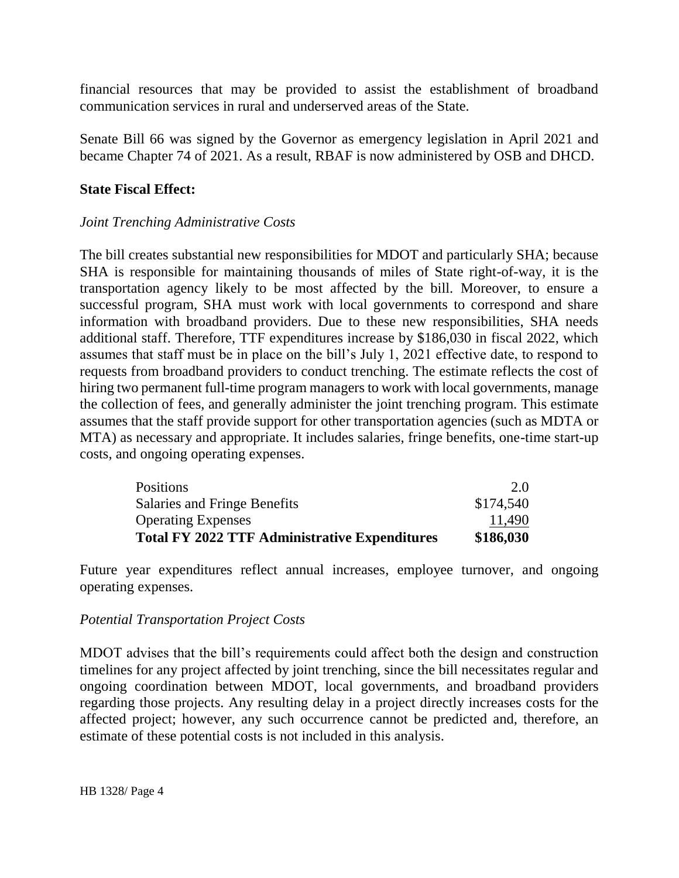financial resources that may be provided to assist the establishment of broadband communication services in rural and underserved areas of the State.

Senate Bill 66 was signed by the Governor as emergency legislation in April 2021 and became Chapter 74 of 2021. As a result, RBAF is now administered by OSB and DHCD.

## **State Fiscal Effect:**

## *Joint Trenching Administrative Costs*

The bill creates substantial new responsibilities for MDOT and particularly SHA; because SHA is responsible for maintaining thousands of miles of State right-of-way, it is the transportation agency likely to be most affected by the bill. Moreover, to ensure a successful program, SHA must work with local governments to correspond and share information with broadband providers. Due to these new responsibilities, SHA needs additional staff. Therefore, TTF expenditures increase by \$186,030 in fiscal 2022, which assumes that staff must be in place on the bill's July 1, 2021 effective date, to respond to requests from broadband providers to conduct trenching. The estimate reflects the cost of hiring two permanent full-time program managers to work with local governments, manage the collection of fees, and generally administer the joint trenching program. This estimate assumes that the staff provide support for other transportation agencies (such as MDTA or MTA) as necessary and appropriate. It includes salaries, fringe benefits, one-time start-up costs, and ongoing operating expenses.

| <b>Positions</b>                                     | 2.0       |
|------------------------------------------------------|-----------|
| Salaries and Fringe Benefits                         | \$174,540 |
| <b>Operating Expenses</b>                            | 11,490    |
| <b>Total FY 2022 TTF Administrative Expenditures</b> | \$186,030 |

Future year expenditures reflect annual increases, employee turnover, and ongoing operating expenses.

#### *Potential Transportation Project Costs*

MDOT advises that the bill's requirements could affect both the design and construction timelines for any project affected by joint trenching, since the bill necessitates regular and ongoing coordination between MDOT, local governments, and broadband providers regarding those projects. Any resulting delay in a project directly increases costs for the affected project; however, any such occurrence cannot be predicted and, therefore, an estimate of these potential costs is not included in this analysis.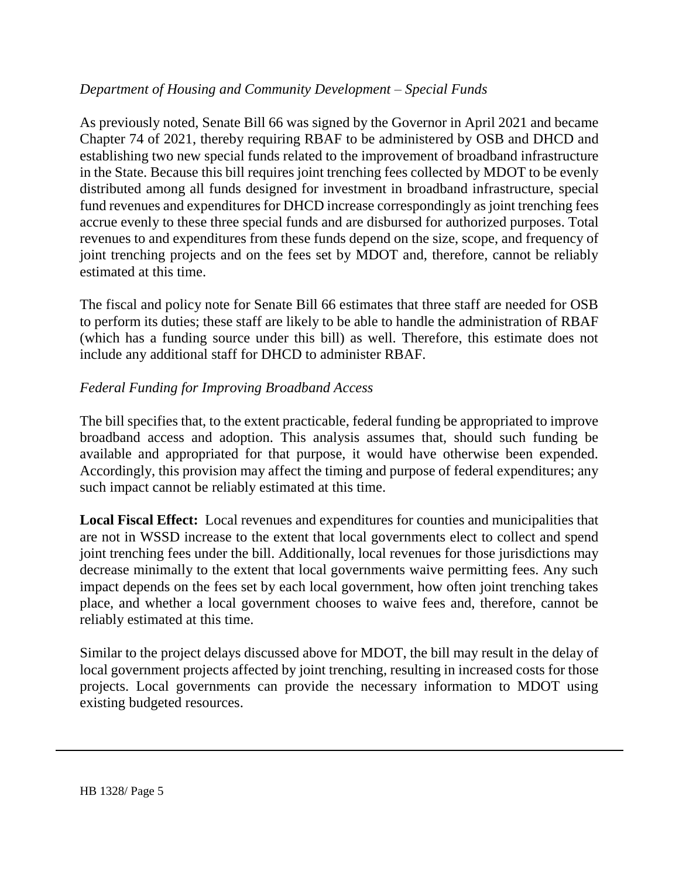# *Department of Housing and Community Development – Special Funds*

As previously noted, Senate Bill 66 was signed by the Governor in April 2021 and became Chapter 74 of 2021, thereby requiring RBAF to be administered by OSB and DHCD and establishing two new special funds related to the improvement of broadband infrastructure in the State. Because this bill requires joint trenching fees collected by MDOT to be evenly distributed among all funds designed for investment in broadband infrastructure, special fund revenues and expenditures for DHCD increase correspondingly as joint trenching fees accrue evenly to these three special funds and are disbursed for authorized purposes. Total revenues to and expenditures from these funds depend on the size, scope, and frequency of joint trenching projects and on the fees set by MDOT and, therefore, cannot be reliably estimated at this time.

The fiscal and policy note for Senate Bill 66 estimates that three staff are needed for OSB to perform its duties; these staff are likely to be able to handle the administration of RBAF (which has a funding source under this bill) as well. Therefore, this estimate does not include any additional staff for DHCD to administer RBAF.

# *Federal Funding for Improving Broadband Access*

The bill specifies that, to the extent practicable, federal funding be appropriated to improve broadband access and adoption. This analysis assumes that, should such funding be available and appropriated for that purpose, it would have otherwise been expended. Accordingly, this provision may affect the timing and purpose of federal expenditures; any such impact cannot be reliably estimated at this time.

**Local Fiscal Effect:** Local revenues and expenditures for counties and municipalities that are not in WSSD increase to the extent that local governments elect to collect and spend joint trenching fees under the bill. Additionally, local revenues for those jurisdictions may decrease minimally to the extent that local governments waive permitting fees. Any such impact depends on the fees set by each local government, how often joint trenching takes place, and whether a local government chooses to waive fees and, therefore, cannot be reliably estimated at this time.

Similar to the project delays discussed above for MDOT, the bill may result in the delay of local government projects affected by joint trenching, resulting in increased costs for those projects. Local governments can provide the necessary information to MDOT using existing budgeted resources.